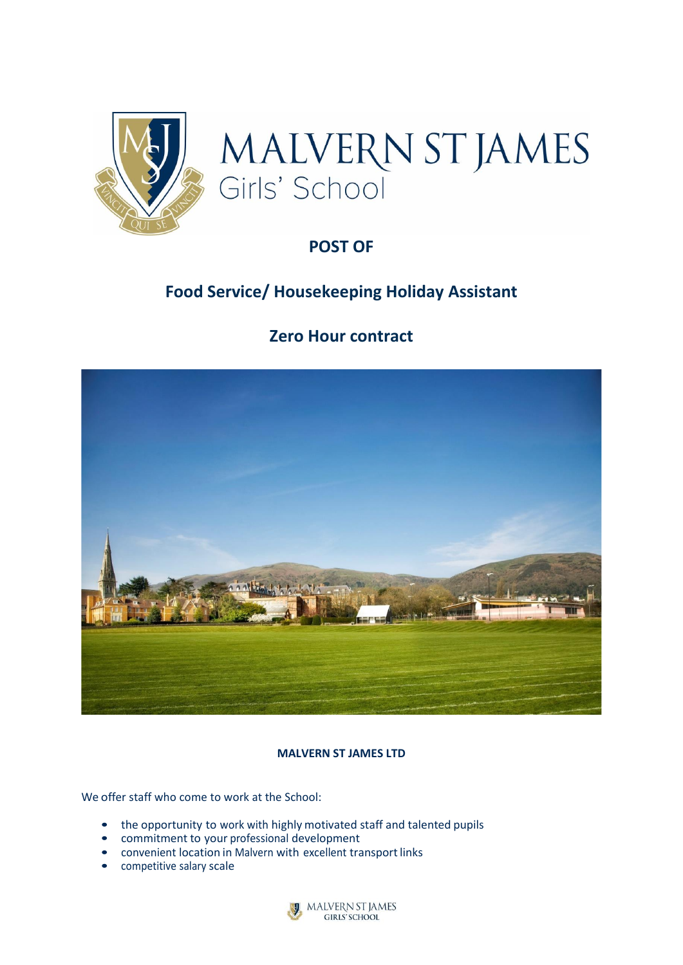



# **POST OF**

# **Food Service/ Housekeeping Holiday Assistant**

# **Zero Hour contract**



# **MALVERN ST JAMES LTD**

We offer staff who come to work at the School:

- the opportunity to work with highly motivated staff and talented pupils
- commitment to your professional development
- convenient location in Malvern with excellent transport links
- competitive salary scale

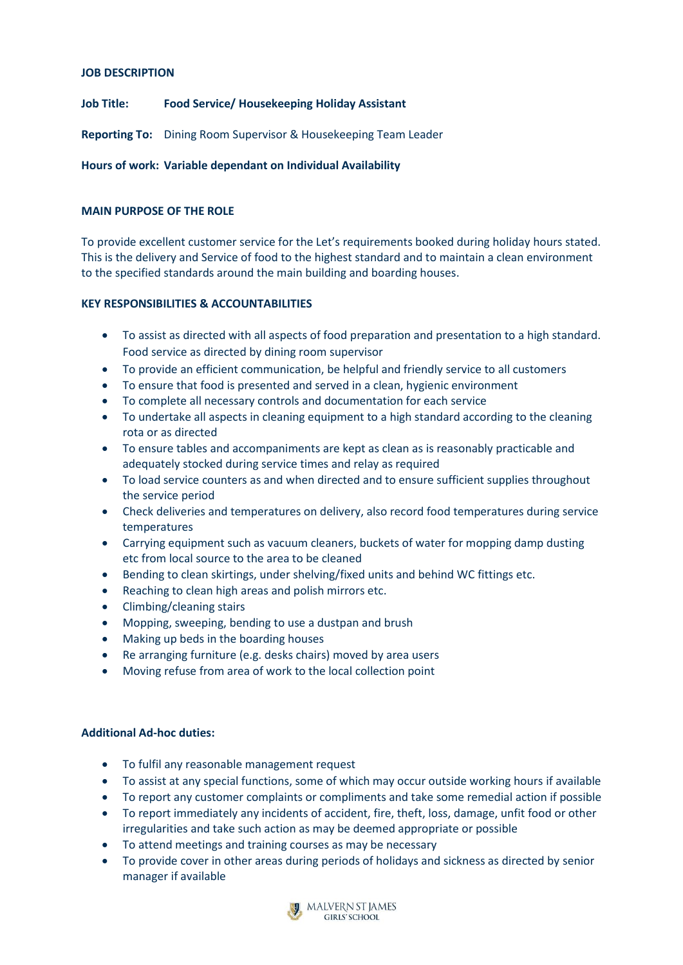## **JOB DESCRIPTION**

**Job Title: Food Service/ Housekeeping Holiday Assistant**

**Reporting To:** Dining Room Supervisor & Housekeeping Team Leader

# **Hours of work: Variable dependant on Individual Availability**

# **MAIN PURPOSE OF THE ROLE**

To provide excellent customer service for the Let's requirements booked during holiday hours stated. This is the delivery and Service of food to the highest standard and to maintain a clean environment to the specified standards around the main building and boarding houses.

# **KEY RESPONSIBILITIES & ACCOUNTABILITIES**

- To assist as directed with all aspects of food preparation and presentation to a high standard. Food service as directed by dining room supervisor
- To provide an efficient communication, be helpful and friendly service to all customers
- To ensure that food is presented and served in a clean, hygienic environment
- To complete all necessary controls and documentation for each service
- To undertake all aspects in cleaning equipment to a high standard according to the cleaning rota or as directed
- To ensure tables and accompaniments are kept as clean as is reasonably practicable and adequately stocked during service times and relay as required
- To load service counters as and when directed and to ensure sufficient supplies throughout the service period
- Check deliveries and temperatures on delivery, also record food temperatures during service temperatures
- Carrying equipment such as vacuum cleaners, buckets of water for mopping damp dusting etc from local source to the area to be cleaned
- Bending to clean skirtings, under shelving/fixed units and behind WC fittings etc.
- Reaching to clean high areas and polish mirrors etc.
- Climbing/cleaning stairs
- Mopping, sweeping, bending to use a dustpan and brush
- Making up beds in the boarding houses
- Re arranging furniture (e.g. desks chairs) moved by area users
- Moving refuse from area of work to the local collection point

## **Additional Ad-hoc duties:**

- To fulfil any reasonable management request
- To assist at any special functions, some of which may occur outside working hours if available
- To report any customer complaints or compliments and take some remedial action if possible
- To report immediately any incidents of accident, fire, theft, loss, damage, unfit food or other irregularities and take such action as may be deemed appropriate or possible
- To attend meetings and training courses as may be necessary
- To provide cover in other areas during periods of holidays and sickness as directed by senior manager if available

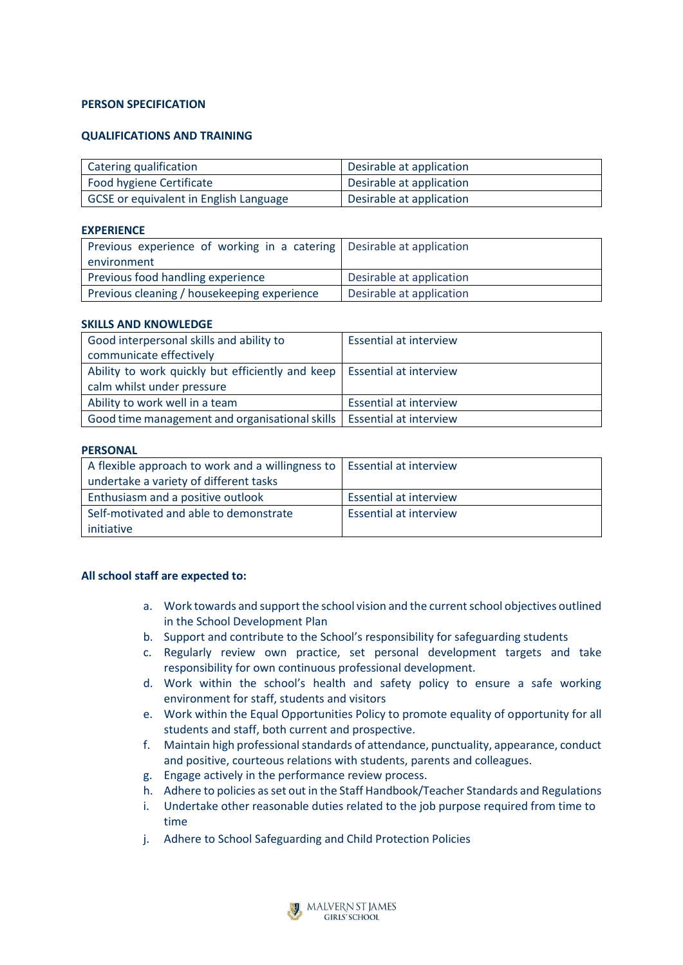## **PERSON SPECIFICATION**

## **QUALIFICATIONS AND TRAINING**

| Catering qualification                 | Desirable at application |
|----------------------------------------|--------------------------|
| Food hygiene Certificate               | Desirable at application |
| GCSE or equivalent in English Language | Desirable at application |

#### **EXPERIENCE**

| Previous experience of working in a catering   Desirable at application |                          |
|-------------------------------------------------------------------------|--------------------------|
| environment                                                             |                          |
| Previous food handling experience                                       | Desirable at application |
| Previous cleaning / housekeeping experience                             | Desirable at application |

#### **SKILLS AND KNOWLEDGE**

| Good interpersonal skills and ability to                                  | <b>Essential at interview</b> |
|---------------------------------------------------------------------------|-------------------------------|
| communicate effectively                                                   |                               |
| Ability to work quickly but efficiently and keep   Essential at interview |                               |
| calm whilst under pressure                                                |                               |
| Ability to work well in a team                                            | <b>Essential at interview</b> |
| Good time management and organisational skills   Essential at interview   |                               |

#### **PERSONAL**

| A flexible approach to work and a willingness to   Essential at interview |                               |
|---------------------------------------------------------------------------|-------------------------------|
| undertake a variety of different tasks                                    |                               |
| Enthusiasm and a positive outlook                                         | <b>Essential at interview</b> |
| Self-motivated and able to demonstrate                                    | <b>Essential at interview</b> |
| initiative                                                                |                               |

#### **All school staff are expected to:**

- a. Work towards and support the school vision and the current school objectives outlined in the School Development Plan
- b. Support and contribute to the School's responsibility for safeguarding students
- c. Regularly review own practice, set personal development targets and take responsibility for own continuous professional development.
- d. Work within the school's health and safety policy to ensure a safe working environment for staff, students and visitors
- e. Work within the Equal Opportunities Policy to promote equality of opportunity for all students and staff, both current and prospective.
- f. Maintain high professional standards of attendance, punctuality, appearance, conduct and positive, courteous relations with students, parents and colleagues.
- g. Engage actively in the performance review process.
- h. Adhere to policies as set out in the Staff Handbook/Teacher Standards and Regulations
- i. Undertake other reasonable duties related to the job purpose required from time to time
- j. Adhere to School Safeguarding and Child Protection Policies